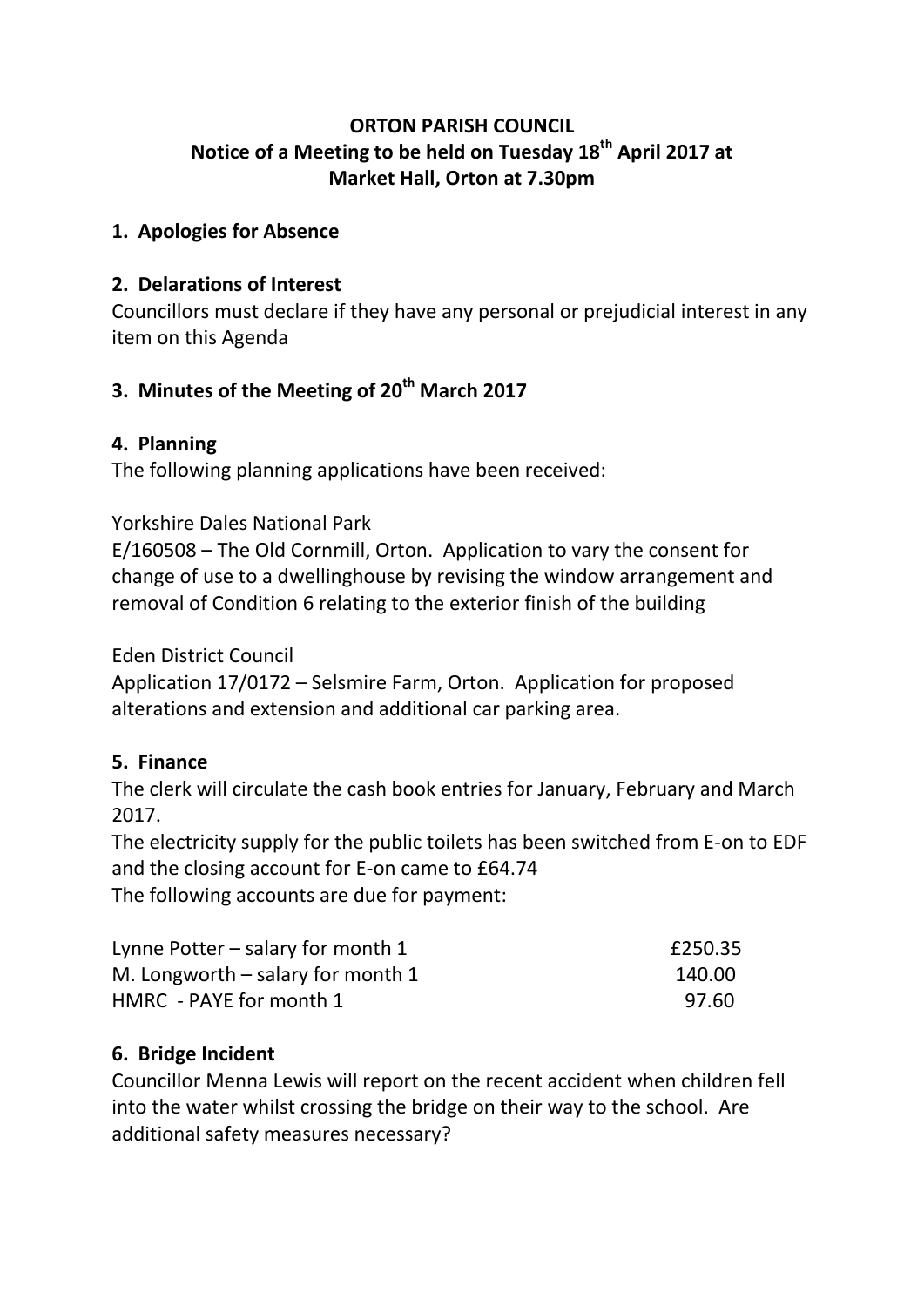### **ORTON PARISH COUNCIL Notice of a Meeting to be held on Tuesday 18th April 2017 at Market Hall, Orton at 7.30pm**

#### **1. Apologies for Absence**

#### **2. Delarations of Interest**

Councillors must declare if they have any personal or prejudicial interest in any item on this Agenda

# **3. Minutes of the Meeting of 20th March 2017**

#### **4. Planning**

The following planning applications have been received:

#### Yorkshire Dales National Park

E/160508 – The Old Cornmill, Orton. Application to vary the consent for change of use to a dwellinghouse by revising the window arrangement and removal of Condition 6 relating to the exterior finish of the building

#### Eden District Council

Application 17/0172 – Selsmire Farm, Orton. Application for proposed alterations and extension and additional car parking area.

### **5. Finance**

The clerk will circulate the cash book entries for January, February and March 2017.

The electricity supply for the public toilets has been switched from E-on to EDF and the closing account for E-on came to £64.74

The following accounts are due for payment:

| Lynne Potter $-$ salary for month 1 | £250.35 |
|-------------------------------------|---------|
| M. Longworth $-$ salary for month 1 | 140.00  |
| HMRC - PAYE for month 1             | 97.60   |

### **6. Bridge Incident**

Councillor Menna Lewis will report on the recent accident when children fell into the water whilst crossing the bridge on their way to the school. Are additional safety measures necessary?